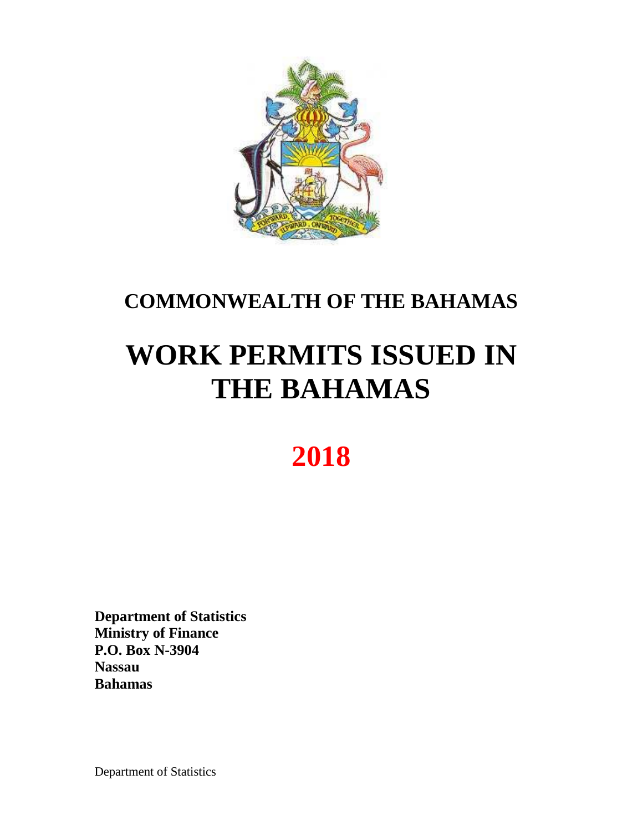

## **COMMONWEALTH OF THE BAHAMAS**

# **WORK PERMITS ISSUED IN THE BAHAMAS**

## **2018**

**Department of Statistics Ministry of Finance P.O. Box N-3904 Nassau Bahamas**

Department of Statistics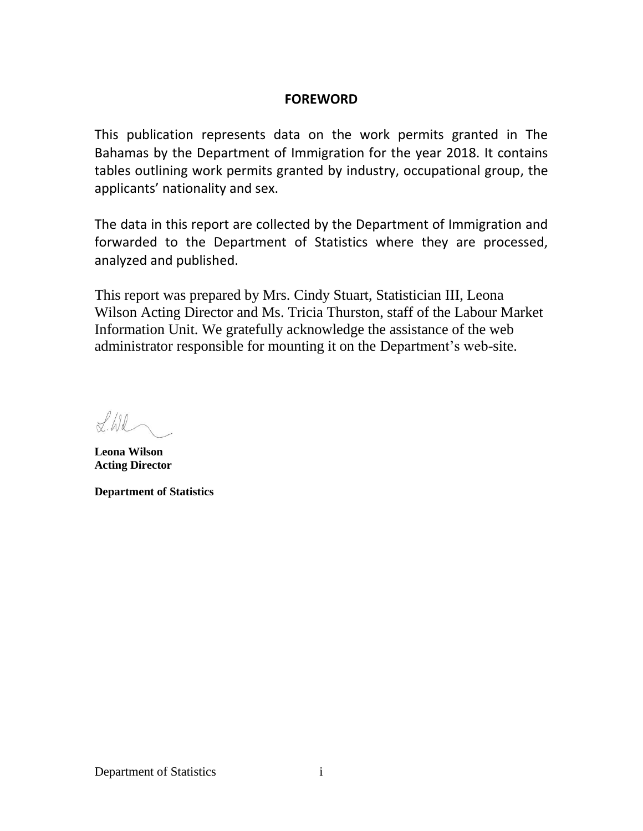## **FOREWORD**

This publication represents data on the work permits granted in The Bahamas by the Department of Immigration for the year 2018. It contains tables outlining work permits granted by industry, occupational group, the applicants' nationality and sex.

The data in this report are collected by the Department of Immigration and forwarded to the Department of Statistics where they are processed, analyzed and published.

This report was prepared by Mrs. Cindy Stuart, Statistician III, Leona Wilson Acting Director and Ms. Tricia Thurston, staff of the Labour Market Information Unit. We gratefully acknowledge the assistance of the web administrator responsible for mounting it on the Department's web-site.

 $flil$ 

**Leona Wilson Acting Director**

**Department of Statistics**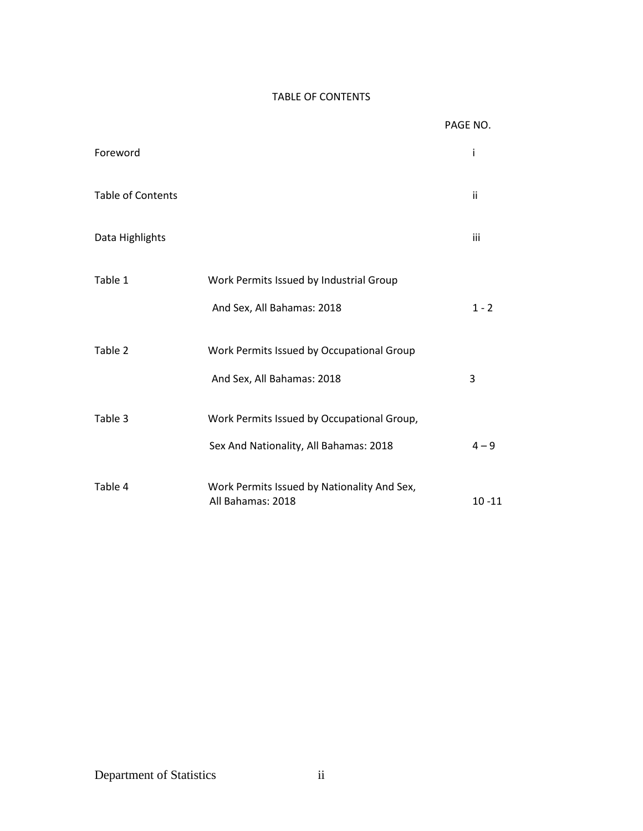## TABLE OF CONTENTS

|                          |                                                                  | PAGE NO.  |
|--------------------------|------------------------------------------------------------------|-----------|
| Foreword                 |                                                                  | i         |
| <b>Table of Contents</b> |                                                                  | ii        |
| Data Highlights          |                                                                  | iii       |
| Table 1                  | Work Permits Issued by Industrial Group                          |           |
|                          | And Sex, All Bahamas: 2018                                       | $1 - 2$   |
| Table 2                  | Work Permits Issued by Occupational Group                        |           |
|                          | And Sex, All Bahamas: 2018                                       | 3         |
| Table 3                  | Work Permits Issued by Occupational Group,                       |           |
|                          | Sex And Nationality, All Bahamas: 2018                           | $4 - 9$   |
| Table 4                  | Work Permits Issued by Nationality And Sex,<br>All Bahamas: 2018 | $10 - 11$ |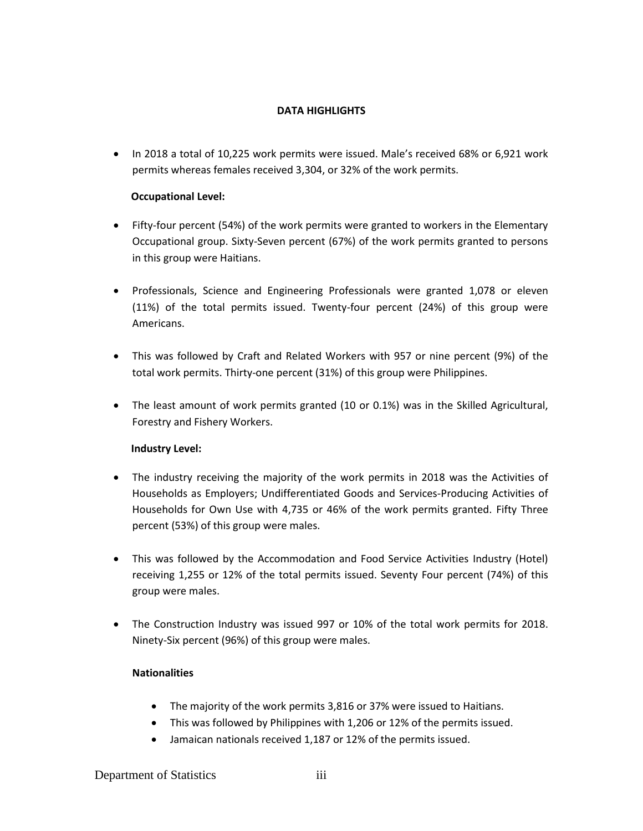## **DATA HIGHLIGHTS**

• In 2018 a total of 10,225 work permits were issued. Male's received 68% or 6,921 work permits whereas females received 3,304, or 32% of the work permits.

### **Occupational Level:**

- Fifty-four percent (54%) of the work permits were granted to workers in the Elementary Occupational group. Sixty-Seven percent (67%) of the work permits granted to persons in this group were Haitians.
- Professionals, Science and Engineering Professionals were granted 1,078 or eleven (11%) of the total permits issued. Twenty-four percent (24%) of this group were Americans.
- This was followed by Craft and Related Workers with 957 or nine percent (9%) of the total work permits. Thirty-one percent (31%) of this group were Philippines.
- The least amount of work permits granted (10 or 0.1%) was in the Skilled Agricultural, Forestry and Fishery Workers.

#### **Industry Level:**

- The industry receiving the majority of the work permits in 2018 was the Activities of Households as Employers; Undifferentiated Goods and Services-Producing Activities of Households for Own Use with 4,735 or 46% of the work permits granted. Fifty Three percent (53%) of this group were males.
- This was followed by the Accommodation and Food Service Activities Industry (Hotel) receiving 1,255 or 12% of the total permits issued. Seventy Four percent (74%) of this group were males.
- The Construction Industry was issued 997 or 10% of the total work permits for 2018. Ninety-Six percent (96%) of this group were males.

## **Nationalities**

- The majority of the work permits 3,816 or 37% were issued to Haitians.
- This was followed by Philippines with 1,206 or 12% of the permits issued.
- Jamaican nationals received 1,187 or 12% of the permits issued.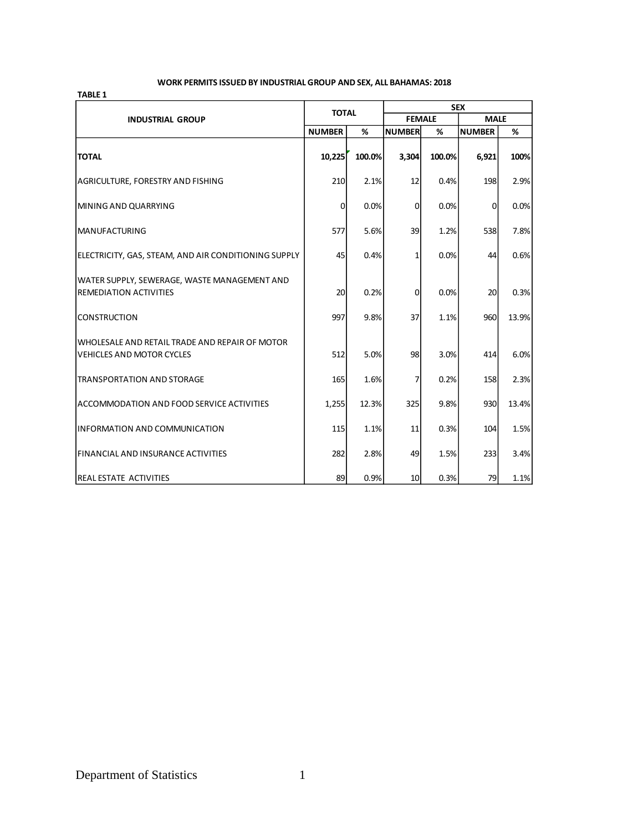#### **WORK PERMITS ISSUED BY INDUSTRIAL GROUP AND SEX, ALL BAHAMAS: 2018**

|                                                                                     | <b>TOTAL</b>   |        | <b>SEX</b>      |        |               |       |
|-------------------------------------------------------------------------------------|----------------|--------|-----------------|--------|---------------|-------|
| <b>INDUSTRIAL GROUP</b>                                                             |                |        | <b>FEMALE</b>   |        | <b>MALE</b>   |       |
|                                                                                     | <b>NUMBER</b>  | %      | <b>NUMBER</b>   | %      | <b>NUMBER</b> | %     |
| <b>TOTAL</b>                                                                        | 10,225         | 100.0% | 3,304           | 100.0% | 6,921         | 100%  |
| AGRICULTURE, FORESTRY AND FISHING                                                   | 210            | 2.1%   | 12              | 0.4%   | 198           | 2.9%  |
| MINING AND QUARRYING                                                                | $\overline{0}$ | 0.0%   | $\mathbf 0$     | 0.0%   | $\mathbf 0$   | 0.0%  |
| <b>MANUFACTURING</b>                                                                | 577            | 5.6%   | 39              | 1.2%   | 538           | 7.8%  |
| ELECTRICITY, GAS, STEAM, AND AIR CONDITIONING SUPPLY                                | 45             | 0.4%   | 1               | 0.0%   | 44            | 0.6%  |
| WATER SUPPLY, SEWERAGE, WASTE MANAGEMENT AND<br><b>REMEDIATION ACTIVITIES</b>       | 20             | 0.2%   | $\mathbf{0}$    | 0.0%   | 20            | 0.3%  |
| <b>CONSTRUCTION</b>                                                                 | 997            | 9.8%   | 37              | 1.1%   | 960           | 13.9% |
| IWHOLESALE AND RETAIL TRADE AND REPAIR OF MOTOR<br><b>VEHICLES AND MOTOR CYCLES</b> | 512            | 5.0%   | 98              | 3.0%   | 414           | 6.0%  |
| <b>TRANSPORTATION AND STORAGE</b>                                                   | 165            | 1.6%   | 7               | 0.2%   | 158           | 2.3%  |
| ACCOMMODATION AND FOOD SERVICE ACTIVITIES                                           | 1,255          | 12.3%  | 325             | 9.8%   | 930           | 13.4% |
| IINFORMATION AND COMMUNICATION                                                      | 115            | 1.1%   | 11              | 0.3%   | 104           | 1.5%  |
| FINANCIAL AND INSURANCE ACTIVITIES                                                  | 282            | 2.8%   | 49              | 1.5%   | 233           | 3.4%  |
| <b>IREAL ESTATE ACTIVITIES</b>                                                      | 89             | 0.9%   | 10 <sup>1</sup> | 0.3%   | 79            | 1.1%  |

**TABLE 1**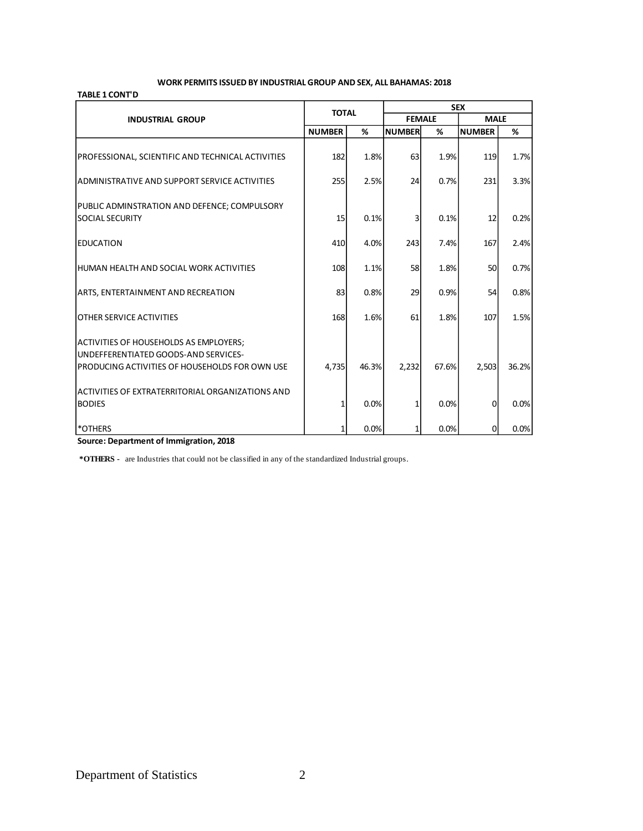#### **WORK PERMITS ISSUED BY INDUSTRIAL GROUP AND SEX, ALL BAHAMAS: 2018**

#### **TABLE 1 CONT'D**

|                                                                                                                                         | <b>TOTAL</b>  |       | <b>SEX</b>    |       |               |       |
|-----------------------------------------------------------------------------------------------------------------------------------------|---------------|-------|---------------|-------|---------------|-------|
| <b>INDUSTRIAL GROUP</b>                                                                                                                 |               |       | <b>FEMALE</b> |       | <b>MALE</b>   |       |
|                                                                                                                                         | <b>NUMBER</b> | %     | <b>NUMBER</b> | %     | <b>NUMBER</b> | %     |
| PROFESSIONAL, SCIENTIFIC AND TECHNICAL ACTIVITIES                                                                                       | 182           | 1.8%  | 63            | 1.9%  | 119           | 1.7%  |
| ADMINISTRATIVE AND SUPPORT SERVICE ACTIVITIES                                                                                           | 255           | 2.5%  | 24            | 0.7%  | 231           | 3.3%  |
| PUBLIC ADMINSTRATION AND DEFENCE; COMPULSORY<br><b>SOCIAL SECURITY</b>                                                                  | 15            | 0.1%  | 3             | 0.1%  | 12            | 0.2%  |
| <b>EDUCATION</b>                                                                                                                        | 410           | 4.0%  | 243           | 7.4%  | 167           | 2.4%  |
| IHUMAN HEALTH AND SOCIAL WORK ACTIVITIES                                                                                                | 108           | 1.1%  | 58            | 1.8%  | 50            | 0.7%  |
| <b>ARTS, ENTERTAINMENT AND RECREATION</b>                                                                                               | 83            | 0.8%  | 29            | 0.9%  | 54            | 0.8%  |
| IOTHER SERVICE ACTIVITIES                                                                                                               | 168           | 1.6%  | 61            | 1.8%  | 107           | 1.5%  |
| <b>ACTIVITIES OF HOUSEHOLDS AS EMPLOYERS;</b><br>UNDEFFERENTIATED GOODS-AND SERVICES-<br>PRODUCING ACTIVITIES OF HOUSEHOLDS FOR OWN USE | 4,735         | 46.3% | 2,232         | 67.6% | 2,503         | 36.2% |
| ACTIVITIES OF EXTRATERRITORIAL ORGANIZATIONS AND<br><b>BODIES</b>                                                                       |               | 0.0%  | 1             | 0.0%  | $\Omega$      | 0.0%  |
| l*others                                                                                                                                |               | 0.0%  | 1             | 0.0%  | $\mathbf 0$   | 0.0%  |

**Source: Department of Immigration, 2018**

 **\*OTHERS -** are Industries that could not be classified in any of the standardized Industrial groups.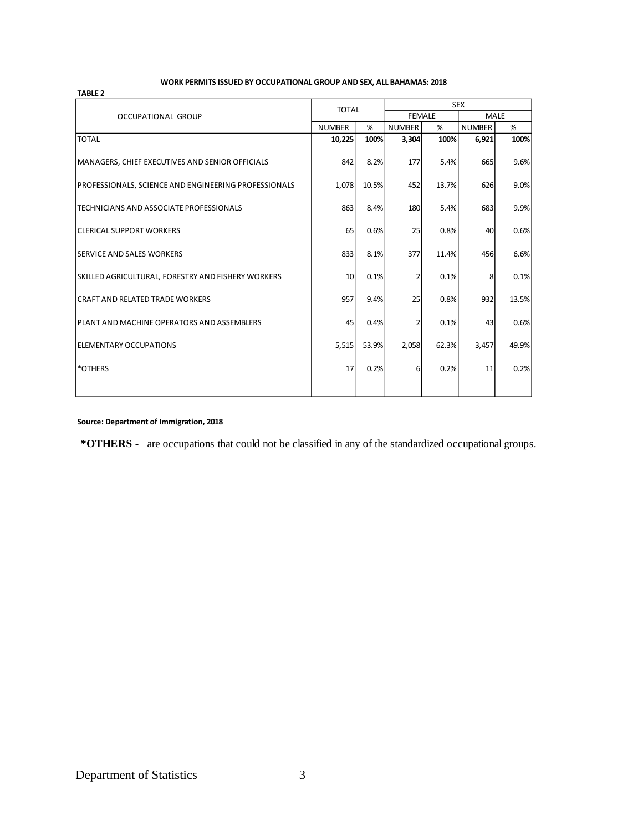#### **TABLE 2**

#### **WORK PERMITS ISSUED BY OCCUPATIONAL GROUP AND SEX, ALL BAHAMAS: 2018**

|                                                           | <b>TOTAL</b>  |       | <b>SEX</b>    |       |               |       |  |
|-----------------------------------------------------------|---------------|-------|---------------|-------|---------------|-------|--|
| <b>OCCUPATIONAL GROUP</b>                                 |               |       | <b>FEMALE</b> |       | <b>MALE</b>   |       |  |
|                                                           | <b>NUMBER</b> | %     | <b>NUMBER</b> | %     | <b>NUMBER</b> | %     |  |
| <b>TOTAL</b>                                              | 10,225        | 100%  | 3,304         | 100%  | 6,921         | 100%  |  |
| MANAGERS, CHIEF EXECUTIVES AND SENIOR OFFICIALS           | 842           | 8.2%  | 177           | 5.4%  | 665           | 9.6%  |  |
| PROFESSIONALS, SCIENCE AND ENGINEERING PROFESSIONALS      | 1,078         | 10.5% | 452           | 13.7% | 626           | 9.0%  |  |
| ITECHNICIANS AND ASSOCIATE PROFESSIONALS                  | 863           | 8.4%  | 180           | 5.4%  | 683           | 9.9%  |  |
| <b>ICLERICAL SUPPORT WORKERS</b>                          | 65            | 0.6%  | 25            | 0.8%  | 40            | 0.6%  |  |
| <b>ISERVICE AND SALES WORKERS</b>                         | 833           | 8.1%  | 377           | 11.4% | 456           | 6.6%  |  |
| <b>SKILLED AGRICULTURAL, FORESTRY AND FISHERY WORKERS</b> | 10            | 0.1%  | 2             | 0.1%  | 8             | 0.1%  |  |
| <b>CRAFT AND RELATED TRADE WORKERS</b>                    | 957           | 9.4%  | 25            | 0.8%  | 932           | 13.5% |  |
| PLANT AND MACHINE OPERATORS AND ASSEMBLERS                | 45            | 0.4%  | 2             | 0.1%  | 43            | 0.6%  |  |
| <b>IELEMENTARY OCCUPATIONS</b>                            | 5,515         | 53.9% | 2,058         | 62.3% | 3,457         | 49.9% |  |
| <b>*OTHERS</b>                                            | 17            | 0.2%  | 6             | 0.2%  | 11            | 0.2%  |  |
|                                                           |               |       |               |       |               |       |  |

**Source: Department of Immigration, 2018**

 **\*OTHERS -** are occupations that could not be classified in any of the standardized occupational groups.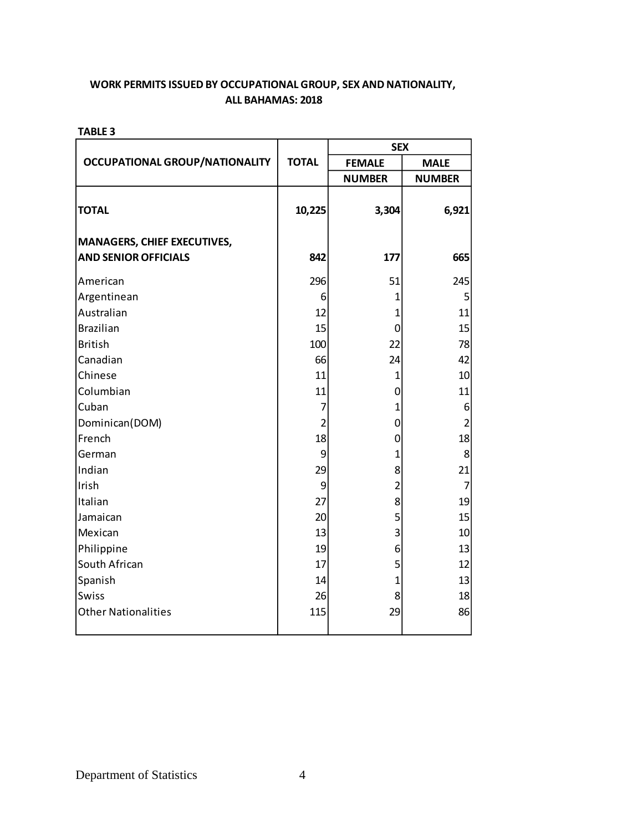**TABLE 3**

|                                       |                | <b>SEX</b>              |                |  |
|---------------------------------------|----------------|-------------------------|----------------|--|
| <b>OCCUPATIONAL GROUP/NATIONALITY</b> | <b>TOTAL</b>   | <b>FEMALE</b>           | <b>MALE</b>    |  |
|                                       |                | <b>NUMBER</b>           | <b>NUMBER</b>  |  |
| <b>TOTAL</b>                          | 10,225         | 3,304                   | 6,921          |  |
| <b>MANAGERS, CHIEF EXECUTIVES,</b>    |                |                         |                |  |
| <b>AND SENIOR OFFICIALS</b>           | 842            | 177                     | 665            |  |
| American                              | 296            | 51                      | 245            |  |
| Argentinean                           | 6              | 1                       | 5              |  |
| Australian                            | 12             | $\mathbf{1}$            | 11             |  |
| <b>Brazilian</b>                      | 15             | 0                       | 15             |  |
| <b>British</b>                        | 100            | 22                      | 78             |  |
| Canadian                              | 66             | 24                      | 42             |  |
| Chinese                               | 11             | $\mathbf{1}$            | 10             |  |
| Columbian                             | 11             | $\mathbf 0$             | 11             |  |
| Cuban                                 | 7              | $\mathbf{1}$            | 6              |  |
| Dominican(DOM)                        | $\overline{2}$ | $\mathbf 0$             | $\overline{c}$ |  |
| French                                | 18             | $\mathbf 0$             | 18             |  |
| German                                | 9              | $\mathbf{1}$            | 8              |  |
| Indian                                | 29             | 8                       | 21             |  |
| Irish                                 | 9              | $\overline{\mathbf{c}}$ | $\overline{7}$ |  |
| Italian                               | 27             | 8                       | 19             |  |
| Jamaican                              | 20             | 5                       | 15             |  |
| Mexican                               | 13             | 3                       | $10\,$         |  |
| Philippine                            | 19             | 6                       | 13             |  |
| South African                         | 17             | 5                       | 12             |  |
| Spanish                               | 14             | $\overline{1}$          | 13             |  |
| Swiss                                 | 26             | 8                       | 18             |  |
| <b>Other Nationalities</b>            | 115            | 29                      | 86             |  |
|                                       |                |                         |                |  |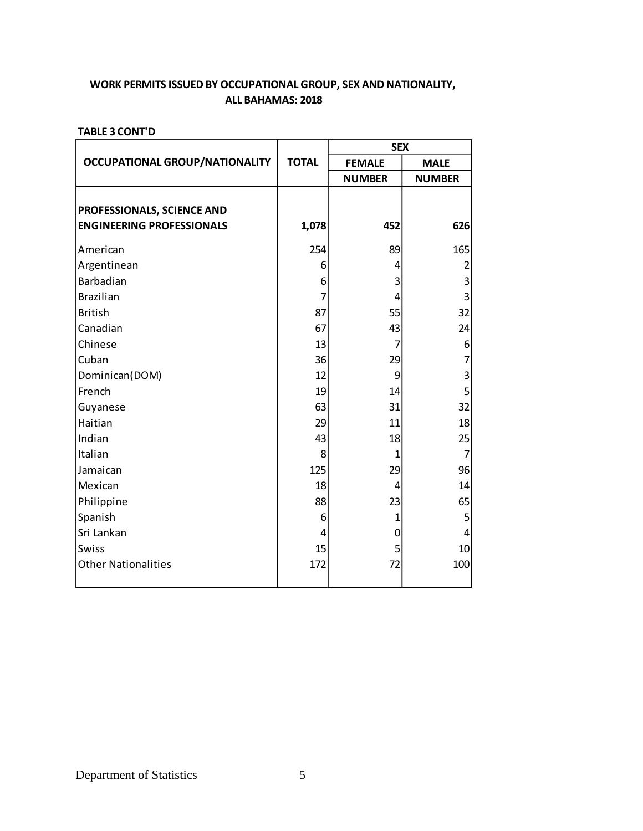|                                                                |              | <b>SEX</b>     |                |
|----------------------------------------------------------------|--------------|----------------|----------------|
| <b>OCCUPATIONAL GROUP/NATIONALITY</b>                          | <b>TOTAL</b> | <b>FEMALE</b>  | <b>MALE</b>    |
|                                                                |              | <b>NUMBER</b>  | <b>NUMBER</b>  |
| PROFESSIONALS, SCIENCE AND<br><b>ENGINEERING PROFESSIONALS</b> | 1,078        | 452            | 626            |
| American                                                       | 254          | 89             | 165            |
| Argentinean                                                    | 6            | 4              | 2              |
| Barbadian                                                      | 6            | 3              | 3              |
| <b>Brazilian</b>                                               | 7            | 4              | $\overline{3}$ |
| <b>British</b>                                                 | 87           | 55             | 32             |
| Canadian                                                       | 67           | 43             | 24             |
| Chinese                                                        | 13           | $\overline{7}$ | 6              |
| Cuban                                                          | 36           | 29             | 7              |
| Dominican(DOM)                                                 | 12           | 9              | 3              |
| French                                                         | 19           | 14             | 5              |
| Guyanese                                                       | 63           | 31             | 32             |
| Haitian                                                        | 29           | 11             | 18             |
| Indian                                                         | 43           | 18             | 25             |
| Italian                                                        | 8            | $\overline{1}$ | $\overline{7}$ |
| Jamaican                                                       | 125          | 29             | 96             |
| Mexican                                                        | 18           | 4              | 14             |
| Philippine                                                     | 88           | 23             | 65             |
| Spanish                                                        | 6            | $\mathbf{1}$   | 5              |
| Sri Lankan                                                     | 4            | 0              | 4              |
| Swiss                                                          | 15           | 5              | 10             |
| <b>Other Nationalities</b>                                     | 172          | 72             | 100            |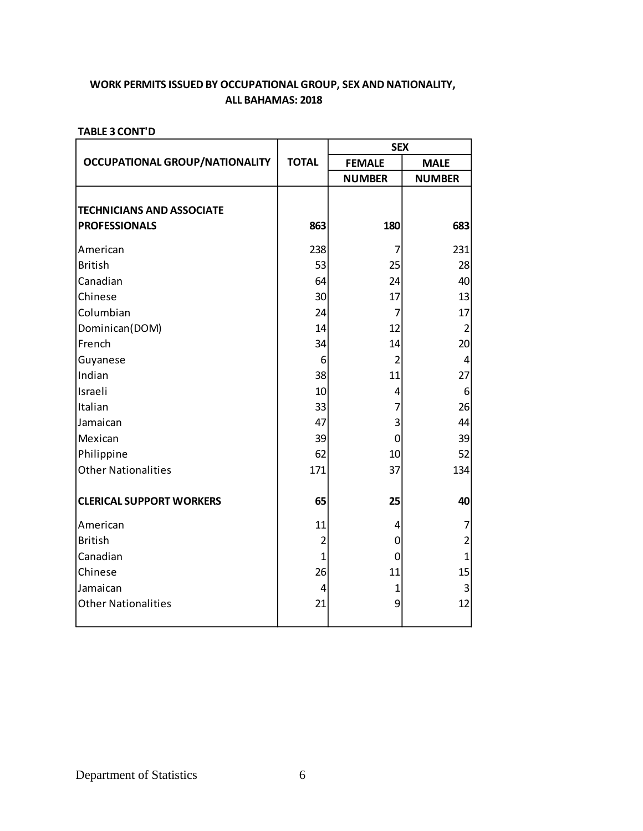|                                       |                | <b>SEX</b>     |                |
|---------------------------------------|----------------|----------------|----------------|
| <b>OCCUPATIONAL GROUP/NATIONALITY</b> | <b>TOTAL</b>   | <b>FEMALE</b>  | <b>MALE</b>    |
|                                       |                | <b>NUMBER</b>  | <b>NUMBER</b>  |
| <b>TECHNICIANS AND ASSOCIATE</b>      |                |                |                |
| <b>PROFESSIONALS</b>                  | 863            | 180            | 683            |
| American                              | 238            | 7              | 231            |
| <b>British</b>                        | 53             | 25             | 28             |
| Canadian                              | 64             | 24             | 40             |
| Chinese                               | 30             | 17             | 13             |
| Columbian                             | 24             | 7              | 17             |
| Dominican(DOM)                        | 14             | 12             | $\overline{2}$ |
| French                                | 34             | 14             | 20             |
| Guyanese                              | 6              | $\overline{2}$ | $\overline{4}$ |
| Indian                                | 38             | 11             | 27             |
| Israeli                               | 10             | 4              | 6              |
| Italian                               | 33             | 7              | 26             |
| Jamaican                              | 47             | 3              | 44             |
| Mexican                               | 39             | $\mathbf 0$    | 39             |
| Philippine                            | 62             | 10             | 52             |
| <b>Other Nationalities</b>            | 171            | 37             | 134            |
| <b>CLERICAL SUPPORT WORKERS</b>       | 65             | 25             | 40             |
| American                              | 11             | 4              | 7              |
| <b>British</b>                        | $\overline{2}$ | 0              | $\overline{c}$ |
| Canadian                              | $\mathbf{1}$   | $\mathbf 0$    | $\overline{1}$ |
| Chinese                               | 26             | 11             | 15             |
| Jamaican                              | 4              | 1              | 3              |
| <b>Other Nationalities</b>            | 21             | 9              | 12             |
|                                       |                |                |                |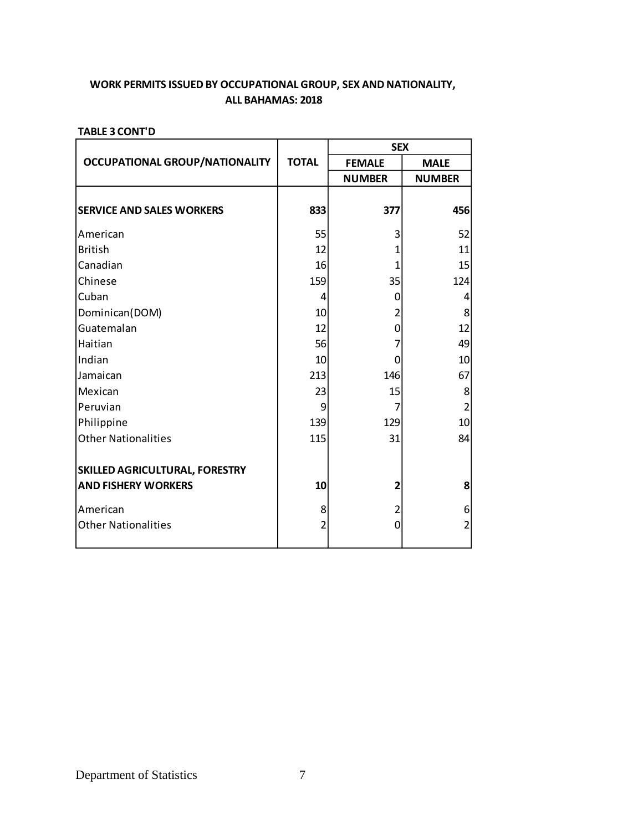|                                       |                | <b>SEX</b>     |                |  |
|---------------------------------------|----------------|----------------|----------------|--|
| <b>OCCUPATIONAL GROUP/NATIONALITY</b> | <b>TOTAL</b>   | <b>FEMALE</b>  | <b>MALE</b>    |  |
|                                       |                | <b>NUMBER</b>  | <b>NUMBER</b>  |  |
| <b>SERVICE AND SALES WORKERS</b>      | 833            | 377            | 456            |  |
| American                              | 55             | 3              | 52             |  |
| <b>British</b>                        | 12             | 1              | 11             |  |
| Canadian                              | 16             | 1              | 15             |  |
| Chinese                               | 159            | 35             | 124            |  |
| Cuban                                 | 4              | 0              | 4              |  |
| Dominican(DOM)                        | 10             | 2              | 8              |  |
| Guatemalan                            | 12             | 0              | 12             |  |
| Haitian                               | 56             | 7              | 49             |  |
| Indian                                | 10             | $\Omega$       | 10             |  |
| Jamaican                              | 213            | 146            | 67             |  |
| Mexican                               | 23             | 15             | 8              |  |
| Peruvian                              | 9              | 7              | $\overline{2}$ |  |
| Philippine                            | 139            | 129            | 10             |  |
| <b>Other Nationalities</b>            | 115            | 31             | 84             |  |
| SKILLED AGRICULTURAL, FORESTRY        |                |                |                |  |
| <b>AND FISHERY WORKERS</b>            | 10             | 2              | 8              |  |
| American                              | 8              | 2              | 6              |  |
| <b>Other Nationalities</b>            | $\overline{2}$ | $\overline{0}$ | $\overline{2}$ |  |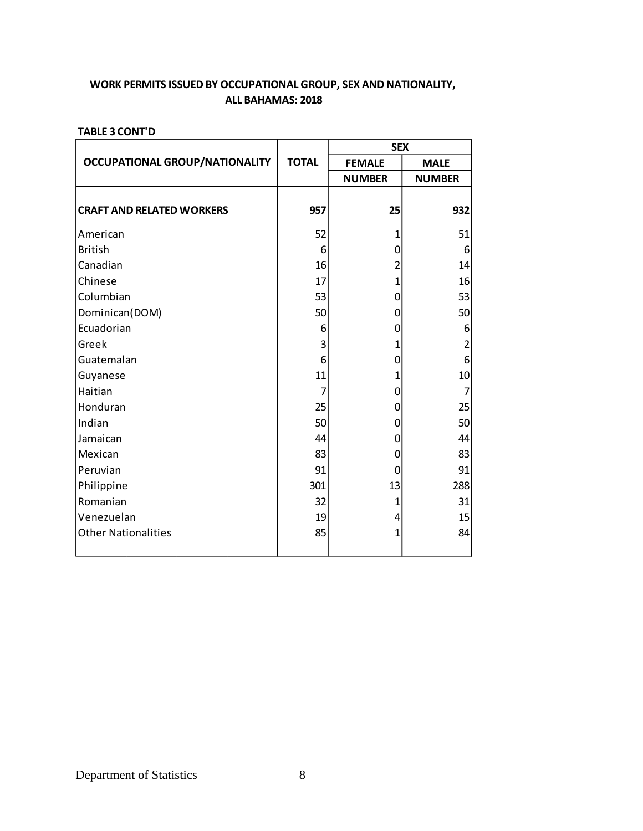|                                       |              | <b>SEX</b>     |                         |  |
|---------------------------------------|--------------|----------------|-------------------------|--|
| <b>OCCUPATIONAL GROUP/NATIONALITY</b> | <b>TOTAL</b> | <b>FEMALE</b>  | <b>MALE</b>             |  |
|                                       |              | <b>NUMBER</b>  | <b>NUMBER</b>           |  |
| <b>CRAFT AND RELATED WORKERS</b>      | 957          | 25             | 932                     |  |
| American                              | 52           | 1              | 51                      |  |
| <b>British</b>                        | 6            | 0              | 6                       |  |
| Canadian                              | 16           | 2              | 14                      |  |
| Chinese                               | 17           | 1              | 16                      |  |
| Columbian                             | 53           | 0              | 53                      |  |
| Dominican(DOM)                        | 50           | $\Omega$       | 50                      |  |
| Ecuadorian                            | 6            | 0              | 6                       |  |
| Greek                                 | 3            | 1              | $\overline{\mathbf{c}}$ |  |
| Guatemalan                            | 6            | 0              | 6                       |  |
| Guyanese                              | 11           | 1              | 10                      |  |
| Haitian                               | 7            | 0              | $\overline{7}$          |  |
| Honduran                              | 25           | 0              | 25                      |  |
| Indian                                | 50           | 0              | 50                      |  |
| Jamaican                              | 44           | $\Omega$       | 44                      |  |
| Mexican                               | 83           | $\mathbf 0$    | 83                      |  |
| Peruvian                              | 91           | 0              | 91                      |  |
| Philippine                            | 301          | 13             | 288                     |  |
| Romanian                              | 32           | 1              | 31                      |  |
| Venezuelan                            | 19           | 4              | 15                      |  |
| <b>Other Nationalities</b>            | 85           | $\overline{1}$ | 84                      |  |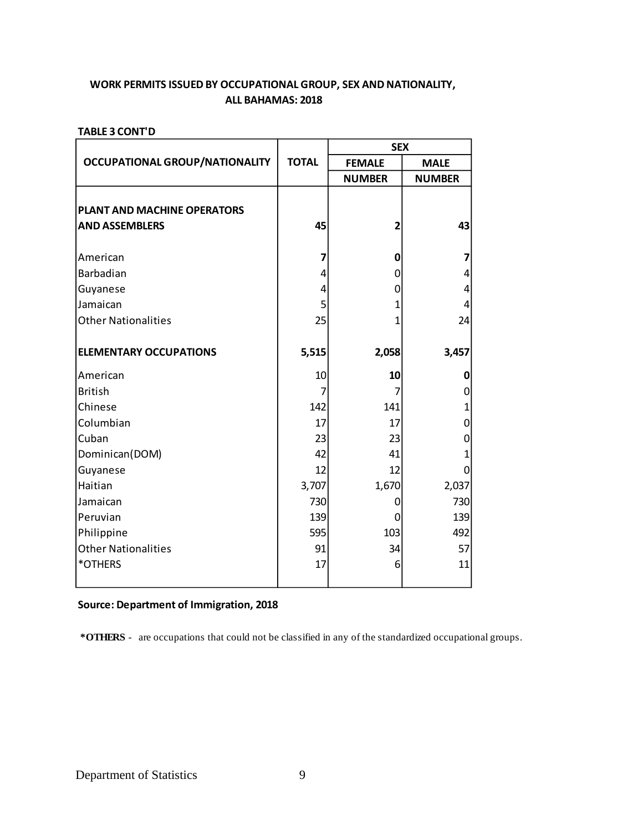## **ALL BAHAMAS: 2018 WORK PERMITS ISSUED BY OCCUPATIONAL GROUP, SEX AND NATIONALITY,**

### **TABLE 3 CONT'D**

|                                       |              | <b>SEX</b>              |               |
|---------------------------------------|--------------|-------------------------|---------------|
| <b>OCCUPATIONAL GROUP/NATIONALITY</b> | <b>TOTAL</b> | <b>FEMALE</b>           | <b>MALE</b>   |
|                                       |              | <b>NUMBER</b>           | <b>NUMBER</b> |
|                                       |              |                         |               |
| PLANT AND MACHINE OPERATORS           |              |                         |               |
| <b>AND ASSEMBLERS</b>                 | 45           | $\overline{\mathbf{c}}$ | 43            |
| American                              | 7            | $\mathbf 0$             | 7             |
| Barbadian                             | 4            | 0                       | 4             |
|                                       | 4            | 0                       | 4             |
| Guyanese<br> Jamaican                 | 5            | $\mathbf{1}$            | 4             |
| <b>Other Nationalities</b>            | 25           | 1                       | 24            |
|                                       |              |                         |               |
| <b>ELEMENTARY OCCUPATIONS</b>         | 5,515        | 2,058                   | 3,457         |
| lAmerican                             | 10           | 10                      | 0             |
| <b>British</b>                        | 7            | 7                       | 0             |
| Chinese                               | 142          | 141                     | 1             |
| Columbian                             | 17           | 17                      | 0             |
| Cuban                                 | 23           | 23                      | 0             |
| Dominican(DOM)                        | 42           | 41                      | $\mathbf{1}$  |
| Guyanese                              | 12           | 12                      | 0             |
| Haitian                               | 3,707        | 1,670                   | 2,037         |
| Jamaican                              | 730          | 0                       | 730           |
| Peruvian                              | 139          | 0                       | 139           |
| Philippine                            | 595          | 103                     | 492           |
| <b>Other Nationalities</b>            | 91           | 34                      | 57            |
| *OTHERS                               | 17           | 6                       | 11            |
|                                       |              |                         |               |

## **Source: Department of Immigration, 2018**

 **\*OTHERS** - are occupations that could not be classified in any of the standardized occupational groups.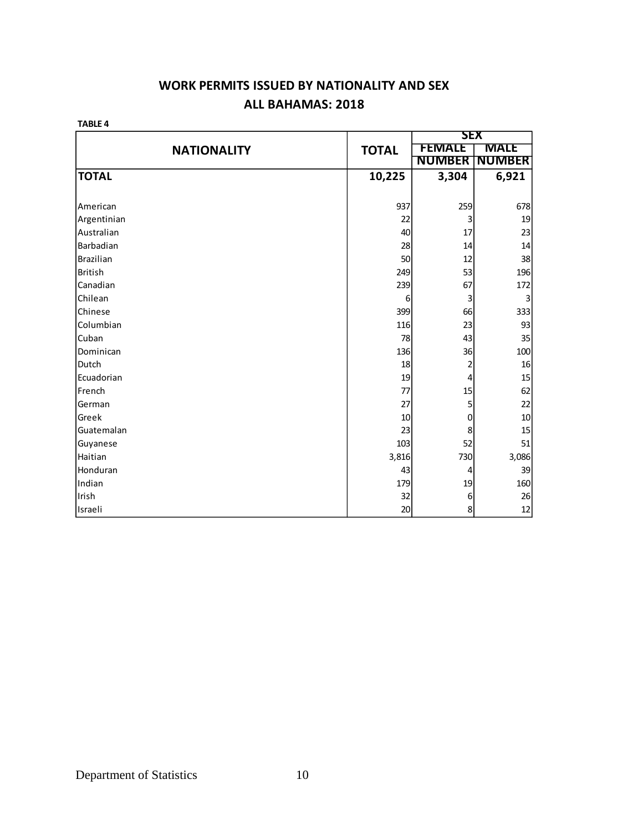## **WORK PERMITS ISSUED BY NATIONALITY AND SEX ALL BAHAMAS: 2018**

**TABLE 4**

|                    |              | <b>SEX</b>    |               |
|--------------------|--------------|---------------|---------------|
| <b>NATIONALITY</b> | <b>TOTAL</b> | <b>FEMALE</b> | <b>MALE</b>   |
|                    |              | <b>NUMBER</b> | <b>NUMBER</b> |
| <b>TOTAL</b>       | 10,225       | 3,304         | 6,921         |
|                    |              |               |               |
| American           | 937          | 259           | 678           |
| Argentinian        | 22           | 3             | 19            |
| Australian         | 40           | 17            | 23            |
| Barbadian          | 28           | 14            | 14            |
| <b>Brazilian</b>   | 50           | 12            | 38            |
| <b>British</b>     | 249          | 53            | 196           |
| Canadian           | 239          | 67            | 172           |
| Chilean            | 6            | 3             | 3             |
| Chinese            | 399          | 66            | 333           |
| Columbian          | 116          | 23            | 93            |
| Cuban              | 78           | 43            | 35            |
| Dominican          | 136          | 36            | 100           |
| Dutch              | 18           | 2             | 16            |
| Ecuadorian         | 19           | 4             | 15            |
| French             | 77           | 15            | 62            |
| German             | 27           | 5             | 22            |
| Greek              | 10           | $\pmb{0}$     | 10            |
| Guatemalan         | 23           | 8             | 15            |
| Guyanese           | 103          | 52            | 51            |
| Haitian            | 3,816        | 730           | 3,086         |
| Honduran           | 43           | 4             | 39            |
| Indian             | 179          | 19            | 160           |
| Irish              | 32           | $\,6$         | 26            |
| Israeli            | 20           | $\bf 8$       | 12            |